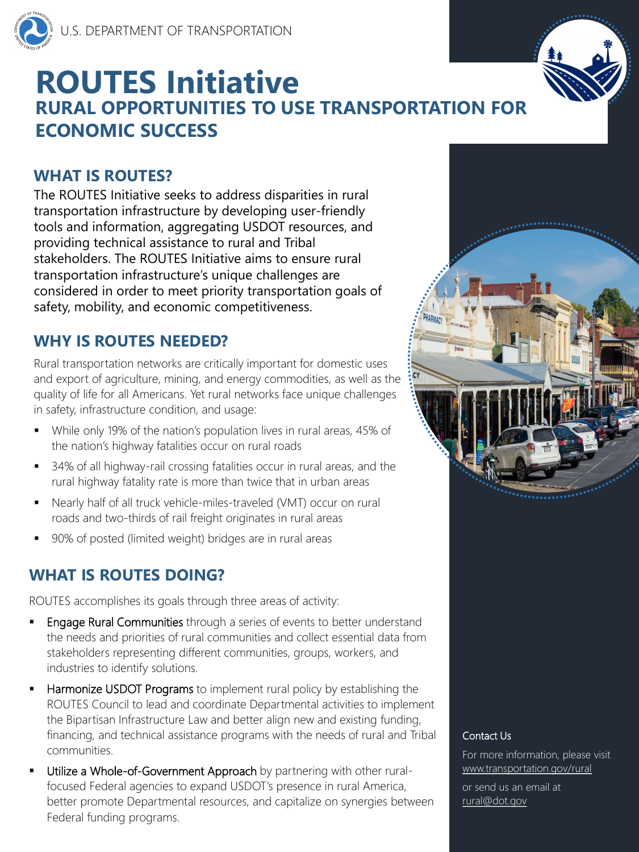

#### **WHAT IS ROUTES?**

The ROUTES Initiative seeks to address disparities in rural transportation infrastructure by developing user-friendly tools and information, aggregating USDOT resources, and providing technical assistance to rural and Tribal stakeholders. The ROUTES Initiative aims to ensure rural transportation infrastructure's unique challenges are considered in order to meet priority transportation goals of safety, mobility, and economic competitiveness.

Rural transportation networks are critically important for domestic uses and export of agriculture, mining, and energy commodities, as well as the quality of life for all Americans. Yet rural networks face unique challenges in safety, infrastructure condition, and usage:

> For more information, please visit [www.transportation.gov/rural](http://www.transportation.gov/rural)

# **ROUTES Initiative RURAL OPPORTUNITIES TO USE TRANSPORTATION FOR ECONOMIC SUCCESS**

- While only 19% of the nation's population lives in rural areas, 45% of the nation's highway fatalities occur on rural roads
- 34% of all highway-rail crossing fatalities occur in rural areas, and the rural highway fatality rate is more than twice that in urban areas
- Nearly half of all truck vehicle-miles-traveled (VMT) occur on rural roads and two-thirds of rail freight originates in rural areas
- 90% of posted (limited weight) bridges are in rural areas

- **Engage Rural Communities** through a series of events to better understand the needs and priorities of rural communities and collect essential data from stakeholders representing different communities, groups, workers, and industries to identify solutions.
- **Harmonize USDOT Programs** to implement rural policy by establishing the ROUTES Council to lead and coordinate Departmental activities to implement the Bipartisan Infrastructure Law and better align new and existing funding, financing, and technical assistance programs with the needs of rural and Tribal communities.
- **Utilize a Whole-of-Government Approach** by partnering with other ruralfocused Federal agencies to expand USDOT's presence in rural America, better promote Departmental resources, and capitalize on synergies between Federal funding programs.

## **WHY IS ROUTES NEEDED?**

#### Contact Us

or send us an email at [rural@dot.gov](mailto:rural@dot.gov)

## **WHAT IS ROUTES DOING?**



ROUTES accomplishes its goals through three areas of activity: